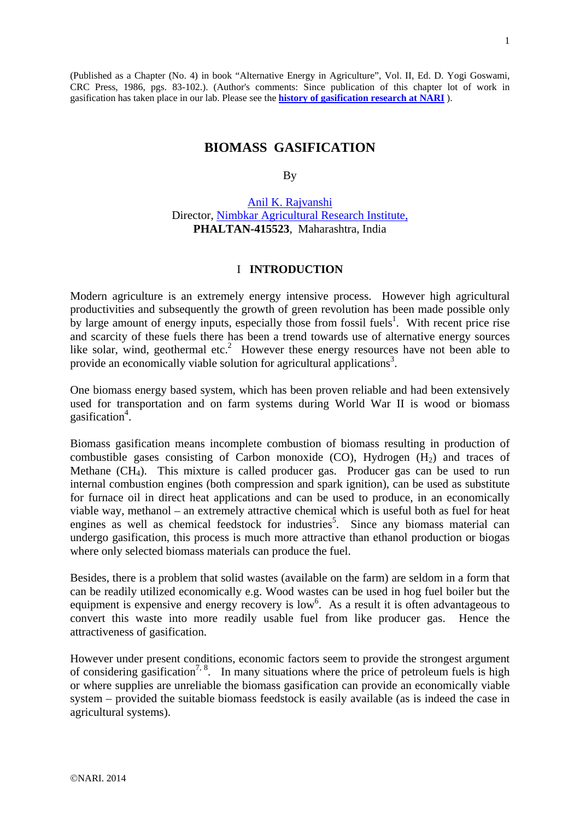(Published as a Chapter (No. 4) in book "Alternative Energy in Agriculture", Vol. II, Ed. D. Yogi Goswami, CRC Press, 1986, pgs. 83-102.). (Author's comments: Since publication of this chapter lot of work in gasification has taken place in our lab. Please see the **[history of gasification research at NARI](http://www.nariphaltan.org/gasifierhistory.pdf)** ).

# **BIOMASS GASIFICATION**

By

[Anil K. Rajvanshi](http://www.nariphaltan.org/rajvanshi.pdf) Director, [Nimbkar Agricultural Research Institute,](http://www.nariphaltan.org/rajvanshi.pdf) **PHALTAN-415523**, Maharashtra, India

### I **INTRODUCTION**

Modern agriculture is an extremely energy intensive process. However high agricultural productivities and subsequently the growth of green revolution has been made possible only by large amount of energy inputs, especially those from fossil fuels<sup>1</sup>. With recent price rise and scarcity of these fuels there has been a trend towards use of alternative energy sources like solar, wind, geothermal etc.<sup>2</sup> However these energy resources have not been able to provide an economically viable solution for agricultural applications<sup>3</sup>.

One biomass energy based system, which has been proven reliable and had been extensively used for transportation and on farm systems during World War II is wood or biomass gasification<sup>4</sup>.

Biomass gasification means incomplete combustion of biomass resulting in production of combustible gases consisting of Carbon monoxide (CO), Hydrogen  $(H<sub>2</sub>)$  and traces of Methane (CH4). This mixture is called producer gas. Producer gas can be used to run internal combustion engines (both compression and spark ignition), can be used as substitute for furnace oil in direct heat applications and can be used to produce, in an economically viable way, methanol – an extremely attractive chemical which is useful both as fuel for heat engines as well as chemical feedstock for industries<sup>5</sup>. Since any biomass material can undergo gasification, this process is much more attractive than ethanol production or biogas where only selected biomass materials can produce the fuel.

Besides, there is a problem that solid wastes (available on the farm) are seldom in a form that can be readily utilized economically e.g. Wood wastes can be used in hog fuel boiler but the equipment is expensive and energy recovery is low<sup>6</sup>. As a result it is often advantageous to convert this waste into more readily usable fuel from like producer gas. Hence the attractiveness of gasification.

However under present conditions, economic factors seem to provide the strongest argument of considering gasification<sup>7, 8</sup>. In many situations where the price of petroleum fuels is high or where supplies are unreliable the biomass gasification can provide an economically viable system – provided the suitable biomass feedstock is easily available (as is indeed the case in agricultural systems).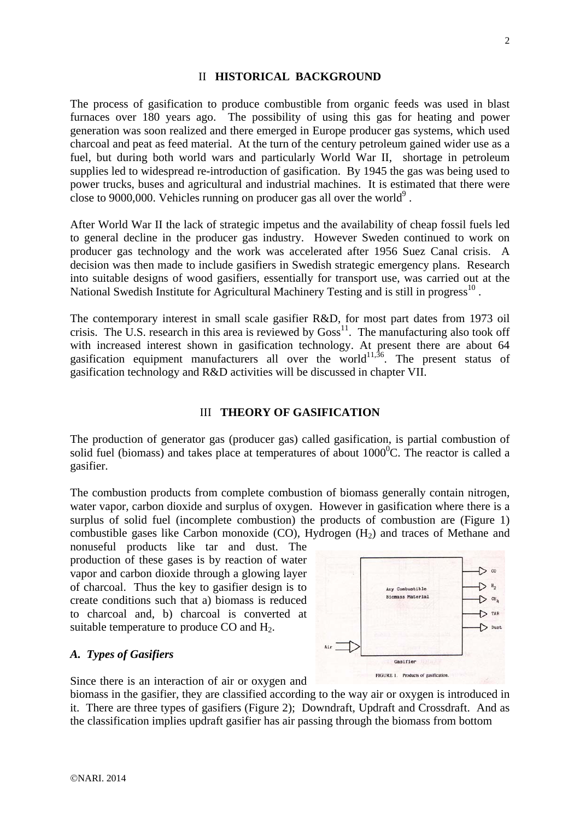### II **HISTORICAL BACKGROUND**

The process of gasification to produce combustible from organic feeds was used in blast furnaces over 180 years ago. The possibility of using this gas for heating and power generation was soon realized and there emerged in Europe producer gas systems, which used charcoal and peat as feed material. At the turn of the century petroleum gained wider use as a fuel, but during both world wars and particularly World War II, shortage in petroleum supplies led to widespread re-introduction of gasification. By 1945 the gas was being used to power trucks, buses and agricultural and industrial machines. It is estimated that there were close to 9000,000. Vehicles running on producer gas all over the world<sup>9</sup>.

After World War II the lack of strategic impetus and the availability of cheap fossil fuels led to general decline in the producer gas industry. However Sweden continued to work on producer gas technology and the work was accelerated after 1956 Suez Canal crisis. A decision was then made to include gasifiers in Swedish strategic emergency plans. Research into suitable designs of wood gasifiers, essentially for transport use, was carried out at the National Swedish Institute for Agricultural Machinery Testing and is still in progress<sup>10</sup>.

The contemporary interest in small scale gasifier R&D, for most part dates from 1973 oil crisis. The U.S. research in this area is reviewed by  $Goss<sup>11</sup>$ . The manufacturing also took off with increased interest shown in gasification technology. At present there are about 64 gasification equipment manufacturers all over the world<sup>11,36</sup>. The present status of gasification technology and R&D activities will be discussed in chapter VII.

#### III **THEORY OF GASIFICATION**

The production of generator gas (producer gas) called gasification, is partial combustion of solid fuel (biomass) and takes place at temperatures of about  $1000^{\circ}$ C. The reactor is called a gasifier.

The combustion products from complete combustion of biomass generally contain nitrogen, water vapor, carbon dioxide and surplus of oxygen. However in gasification where there is a surplus of solid fuel (incomplete combustion) the products of combustion are (Figure 1) combustible gases like Carbon monoxide  $(CO)$ , Hydrogen  $(H<sub>2</sub>)$  and traces of Methane and

nonuseful products like tar and dust. The production of these gases is by reaction of water vapor and carbon dioxide through a glowing layer of charcoal. Thus the key to gasifier design is to create conditions such that a) biomass is reduced to charcoal and, b) charcoal is converted at suitable temperature to produce  $CO$  and  $H<sub>2</sub>$ .

# *A. Types of Gasifiers*

Since there is an interaction of air or oxygen and

biomass in the gasifier, they are classified according to the way air or oxygen is introduced in it. There are three types of gasifiers (Figure 2); Downdraft, Updraft and Crossdraft. And as the classification implies updraft gasifier has air passing through the biomass from bottom

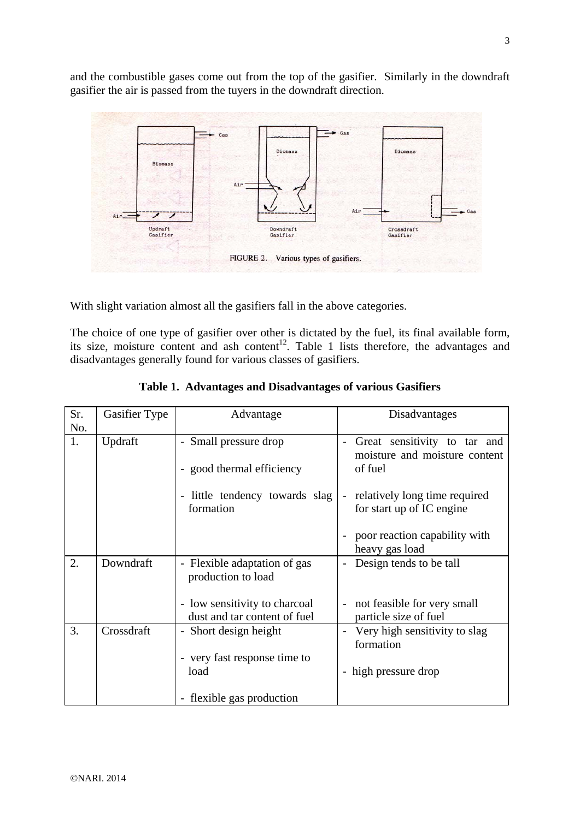and the combustible gases come out from the top of the gasifier. Similarly in the downdraft gasifier the air is passed from the tuyers in the downdraft direction.



With slight variation almost all the gasifiers fall in the above categories.

The choice of one type of gasifier over other is dictated by the fuel, its final available form, its size, moisture content and ash content<sup>12</sup>. Table 1 lists therefore, the advantages and disadvantages generally found for various classes of gasifiers.

| Sr.<br>No. | Gasifier Type | Advantage                                                     | Disadvantages                                                                          |
|------------|---------------|---------------------------------------------------------------|----------------------------------------------------------------------------------------|
| 1.         | Updraft       | - Small pressure drop<br>- good thermal efficiency            | Great sensitivity to tar and<br>moisture and moisture content<br>of fuel               |
|            |               | - little tendency towards slag<br>formation                   | relatively long time required<br>$\overline{\phantom{a}}$<br>for start up of IC engine |
|            |               |                                                               | poor reaction capability with<br>heavy gas load                                        |
| 2.         | Downdraft     | - Flexible adaptation of gas<br>production to load            | Design tends to be tall                                                                |
|            |               | - low sensitivity to charcoal<br>dust and tar content of fuel | not feasible for very small<br>particle size of fuel                                   |
| 3.         | Crossdraft    | - Short design height                                         | Very high sensitivity to slag<br>formation                                             |
|            |               | - very fast response time to<br>load                          | - high pressure drop                                                                   |
|            |               | - flexible gas production                                     |                                                                                        |

|  | Table 1. Advantages and Disadvantages of various Gasifiers |  |
|--|------------------------------------------------------------|--|
|  |                                                            |  |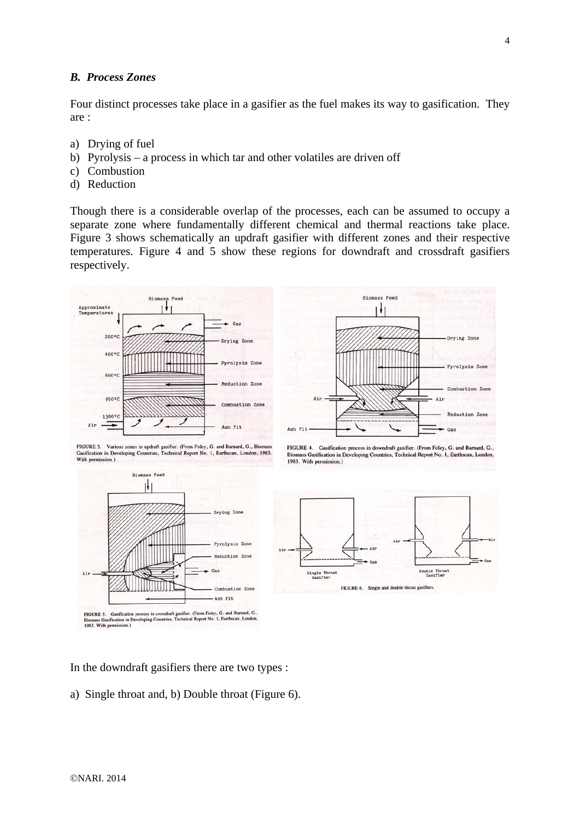### *B. Process Zones*

Four distinct processes take place in a gasifier as the fuel makes its way to gasification. They are :

- a) Drying of fuel
- b) Pyrolysis a process in which tar and other volatiles are driven off
- c) Combustion
- d) Reduction

Though there is a considerable overlap of the processes, each can be assumed to occupy a separate zone where fundamentally different chemical and thermal reactions take place. Figure 3 shows schematically an updraft gasifier with different zones and their respective temperatures. Figure 4 and 5 show these regions for downdraft and crossdraft gasifiers respectively.





FIGURE 3. Various zones in updraft gasifier. (From Foley, G. and Barnard, G., Biomass FIGURE 3. Various zones in updraft gasifier. (From Foley, G. and Barnard, G. Gasification in Developing Countries, Technical Report No. 1, Earthscan, Lond With permission.)







In the downdraft gasifiers there are two types :

a) Single throat and, b) Double throat (Figure 6).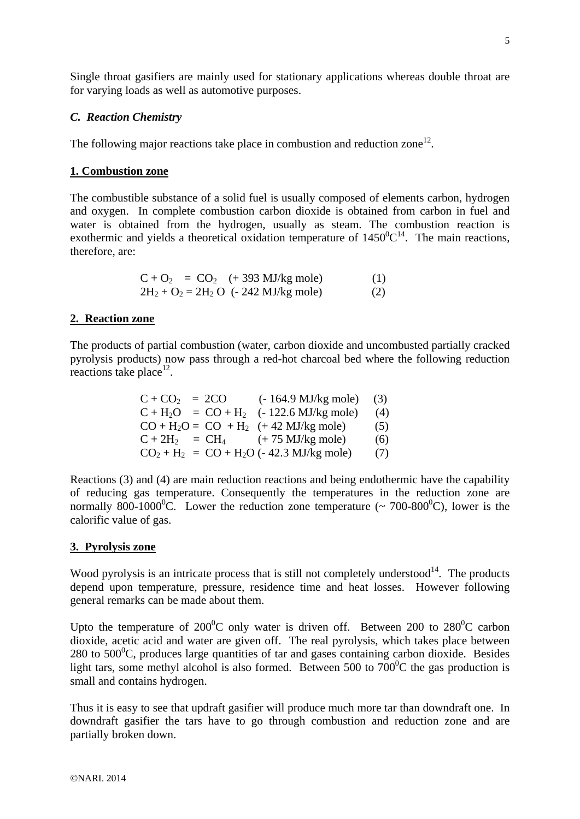Single throat gasifiers are mainly used for stationary applications whereas double throat are for varying loads as well as automotive purposes.

### *C. Reaction Chemistry*

The following major reactions take place in combustion and reduction zone<sup>12</sup>.

### **1. Combustion zone**

The combustible substance of a solid fuel is usually composed of elements carbon, hydrogen and oxygen. In complete combustion carbon dioxide is obtained from carbon in fuel and water is obtained from the hydrogen, usually as steam. The combustion reaction is exothermic and yields a theoretical oxidation temperature of  $1450^0C^{14}$ . The main reactions, therefore, are:

| $C + O_2 = CO_2$ (+393 MJ/kg mole)       | (1) |
|------------------------------------------|-----|
| $2H_2 + O_2 = 2H_2 O$ (- 242 MJ/kg mole) | (2) |

### **2. Reaction zone**

The products of partial combustion (water, carbon dioxide and uncombusted partially cracked pyrolysis products) now pass through a red-hot charcoal bed where the following reduction reactions take place $^{12}$ .

| $C + CO_2 = 2CO$ (-164.9 MJ/kg mole) (3)   |     |
|--------------------------------------------|-----|
| $C + H_2O = CO + H_2$ (- 122.6 MJ/kg mole) | (4) |
| $CO + H_2O = CO + H_2$ (+42 MJ/kg mole)    | (5) |
| $C + 2H_2 = CH_4$ (+75 MJ/kg mole)         | (6) |
| $CO2 + H2 = CO + H2O$ (- 42.3 MJ/kg mole)  | (7) |

Reactions (3) and (4) are main reduction reactions and being endothermic have the capability of reducing gas temperature. Consequently the temperatures in the reduction zone are normally 800-1000<sup>°</sup>C. Lower the reduction zone temperature ( $\sim 700$ -800<sup>°</sup>C), lower is the calorific value of gas.

### **3. Pyrolysis zone**

Wood pyrolysis is an intricate process that is still not completely understood $^{14}$ . The products depend upon temperature, pressure, residence time and heat losses. However following general remarks can be made about them.

Upto the temperature of  $200^{\circ}$ C only water is driven off. Between 200 to  $280^{\circ}$ C carbon dioxide, acetic acid and water are given off. The real pyrolysis, which takes place between  $280$  to  $500^0$ C, produces large quantities of tar and gases containing carbon dioxide. Besides light tars, some methyl alcohol is also formed. Between 500 to  $700^{\circ}$ C the gas production is small and contains hydrogen.

Thus it is easy to see that updraft gasifier will produce much more tar than downdraft one. In downdraft gasifier the tars have to go through combustion and reduction zone and are partially broken down.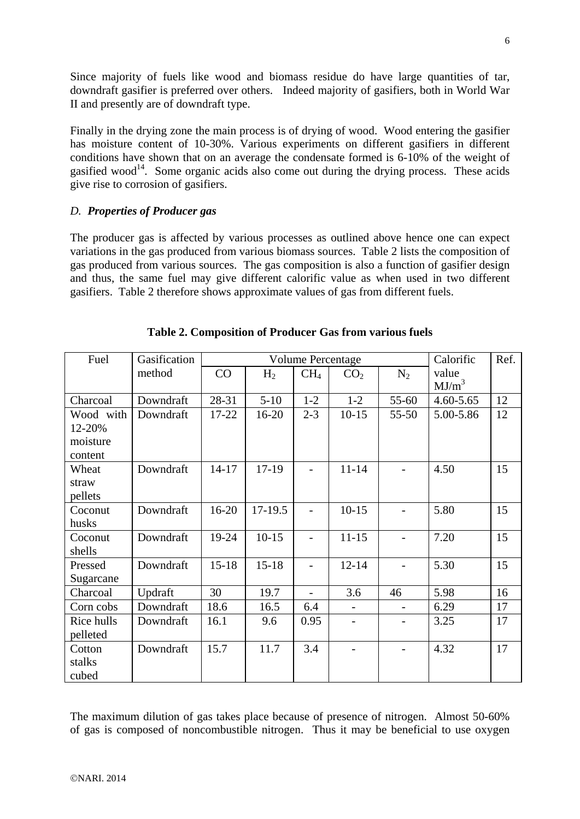Since majority of fuels like wood and biomass residue do have large quantities of tar, downdraft gasifier is preferred over others. Indeed majority of gasifiers, both in World War II and presently are of downdraft type.

Finally in the drying zone the main process is of drying of wood. Wood entering the gasifier has moisture content of 10-30%. Various experiments on different gasifiers in different conditions have shown that on an average the condensate formed is 6-10% of the weight of gasified wood<sup>14</sup>. Some organic acids also come out during the drying process. These acids give rise to corrosion of gasifiers.

# *D. Properties of Producer gas*

The producer gas is affected by various processes as outlined above hence one can expect variations in the gas produced from various biomass sources. Table 2 lists the composition of gas produced from various sources. The gas composition is also a function of gasifier design and thus, the same fuel may give different calorific value as when used in two different gasifiers. Table 2 therefore shows approximate values of gas from different fuels.

| Fuel       | Gasification | <b>Volume Percentage</b> |                |                 |                 |           | Calorific | Ref. |
|------------|--------------|--------------------------|----------------|-----------------|-----------------|-----------|-----------|------|
|            | method       | CO                       | H <sub>2</sub> | CH <sub>4</sub> | CO <sub>2</sub> | $N_2$     | value     |      |
|            |              |                          |                |                 |                 |           | $MJ/m^3$  |      |
| Charcoal   | Downdraft    | 28-31                    | $5 - 10$       | $1 - 2$         | $1 - 2$         | 55-60     | 4.60-5.65 | 12   |
| Wood with  | Downdraft    | 17-22                    | 16-20          | $2 - 3$         | $10-15$         | $55 - 50$ | 5.00-5.86 | 12   |
| 12-20%     |              |                          |                |                 |                 |           |           |      |
| moisture   |              |                          |                |                 |                 |           |           |      |
| content    |              |                          |                |                 |                 |           |           |      |
| Wheat      | Downdraft    | $14 - 17$                | 17-19          |                 | $11 - 14$       |           | 4.50      | 15   |
| straw      |              |                          |                |                 |                 |           |           |      |
| pellets    |              |                          |                |                 |                 |           |           |      |
| Coconut    | Downdraft    | 16-20                    | 17-19.5        |                 | $10 - 15$       |           | 5.80      | 15   |
| husks      |              |                          |                |                 |                 |           |           |      |
| Coconut    | Downdraft    | 19-24                    | $10-15$        |                 | $11 - 15$       |           | 7.20      | 15   |
| shells     |              |                          |                |                 |                 |           |           |      |
| Pressed    | Downdraft    | $15 - 18$                | $15 - 18$      |                 | $12 - 14$       |           | 5.30      | 15   |
| Sugarcane  |              |                          |                |                 |                 |           |           |      |
| Charcoal   | Updraft      | 30                       | 19.7           |                 | 3.6             | 46        | 5.98      | 16   |
| Corn cobs  | Downdraft    | 18.6                     | 16.5           | 6.4             |                 |           | 6.29      | 17   |
| Rice hulls | Downdraft    | 16.1                     | 9.6            | 0.95            |                 |           | 3.25      | 17   |
| pelleted   |              |                          |                |                 |                 |           |           |      |
| Cotton     | Downdraft    | 15.7                     | 11.7           | 3.4             |                 |           | 4.32      | 17   |
| stalks     |              |                          |                |                 |                 |           |           |      |
| cubed      |              |                          |                |                 |                 |           |           |      |

# **Table 2. Composition of Producer Gas from various fuels**

The maximum dilution of gas takes place because of presence of nitrogen. Almost 50-60% of gas is composed of noncombustible nitrogen. Thus it may be beneficial to use oxygen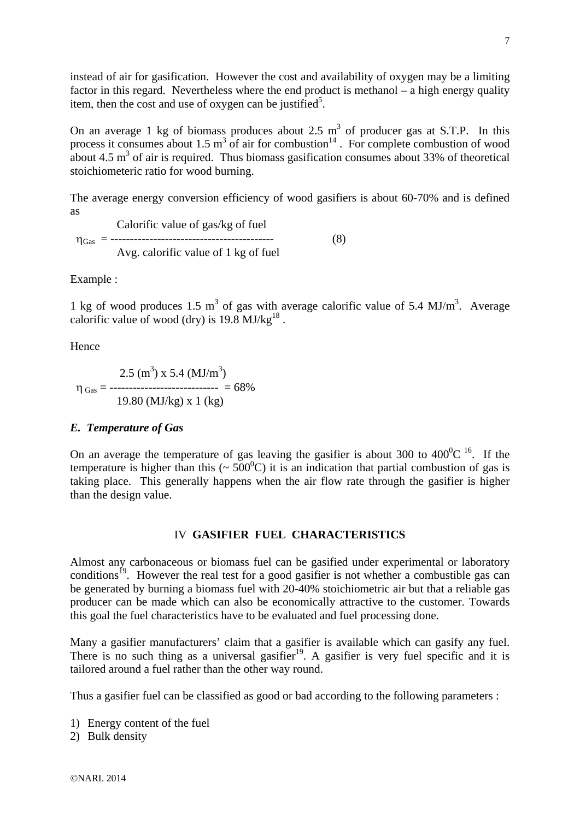instead of air for gasification. However the cost and availability of oxygen may be a limiting factor in this regard. Nevertheless where the end product is methanol – a high energy quality item, then the cost and use of oxygen can be justified<sup>5</sup>.

On an average 1 kg of biomass produces about 2.5  $m<sup>3</sup>$  of producer gas at S.T.P. In this process it consumes about 1.5  $m^3$  of air for combustion<sup>14</sup>. For complete combustion of wood about 4.5  $\text{m}^3$  of air is required. Thus biomass gasification consumes about 33% of theoretical stoichiometeric ratio for wood burning.

The average energy conversion efficiency of wood gasifiers is about 60-70% and is defined as

 Calorific value of gas/kg of fuel ηGas = ------------------------------------------ (8) Avg. calorific value of 1 kg of fuel

Example :

1 kg of wood produces 1.5  $m<sup>3</sup>$  of gas with average calorific value of 5.4 MJ/ $m<sup>3</sup>$ . Average calorific value of wood (dry) is  $19.8 \text{ MJ/kg}^{18}$ .

Hence

$$
\eta_{\text{ Gas}} = \frac{2.5 \text{ (m}^3) \times 5.4 \text{ (MJ/m}^3)}{19.80 \text{ (MJ/kg)} \times 1 \text{ (kg)}}
$$

### *E. Temperature of Gas*

On an average the temperature of gas leaving the gasifier is about 300 to  $400^{\circ}$ C <sup>16</sup>. If the temperature is higher than this ( $\sim 500^{\circ}$ C) it is an indication that partial combustion of gas is taking place. This generally happens when the air flow rate through the gasifier is higher than the design value.

### IV **GASIFIER FUEL CHARACTERISTICS**

Almost any carbonaceous or biomass fuel can be gasified under experimental or laboratory conditions<sup>19</sup>. However the real test for a good gasifier is not whether a combustible gas can be generated by burning a biomass fuel with 20-40% stoichiometric air but that a reliable gas producer can be made which can also be economically attractive to the customer. Towards this goal the fuel characteristics have to be evaluated and fuel processing done.

Many a gasifier manufacturers' claim that a gasifier is available which can gasify any fuel. There is no such thing as a universal gasifier<sup>19</sup>. A gasifier is very fuel specific and it is tailored around a fuel rather than the other way round.

Thus a gasifier fuel can be classified as good or bad according to the following parameters :

- 1) Energy content of the fuel
- 2) Bulk density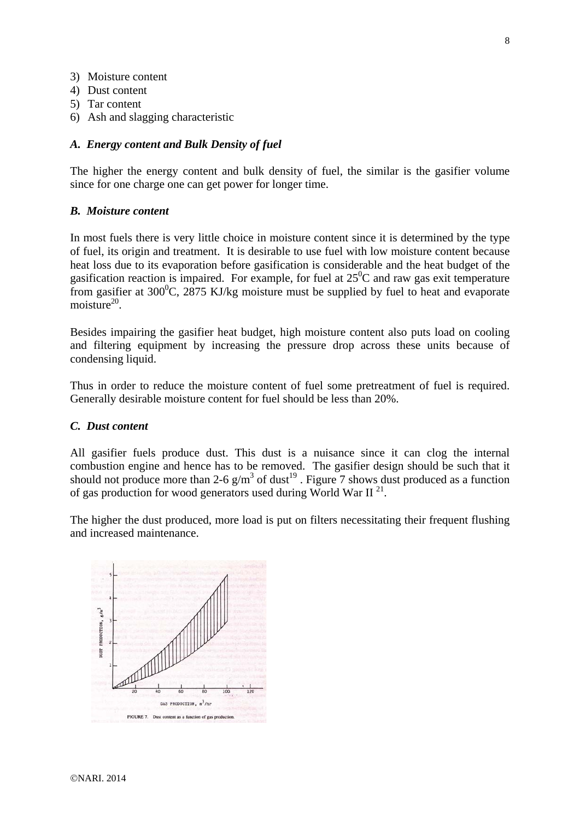- 3) Moisture content
- 4) Dust content
- 5) Tar content
- 6) Ash and slagging characteristic

### *A. Energy content and Bulk Density of fuel*

The higher the energy content and bulk density of fuel, the similar is the gasifier volume since for one charge one can get power for longer time.

### *B. Moisture content*

In most fuels there is very little choice in moisture content since it is determined by the type of fuel, its origin and treatment. It is desirable to use fuel with low moisture content because heat loss due to its evaporation before gasification is considerable and the heat budget of the gasification reaction is impaired. For example, for fuel at  $25^{\circ}$ C and raw gas exit temperature from gasifier at  $300^{\circ}$ C,  $2875$  KJ/kg moisture must be supplied by fuel to heat and evaporate moisture<sup>20</sup>.

Besides impairing the gasifier heat budget, high moisture content also puts load on cooling and filtering equipment by increasing the pressure drop across these units because of condensing liquid.

Thus in order to reduce the moisture content of fuel some pretreatment of fuel is required. Generally desirable moisture content for fuel should be less than 20%.

### *C. Dust content*

All gasifier fuels produce dust. This dust is a nuisance since it can clog the internal combustion engine and hence has to be removed. The gasifier design should be such that it should not produce more than 2-6  $g/m^3$  of dust<sup>19</sup>. Figure 7 shows dust produced as a function of gas production for wood generators used during World War  $II<sup>21</sup>$ .

The higher the dust produced, more load is put on filters necessitating their frequent flushing and increased maintenance.

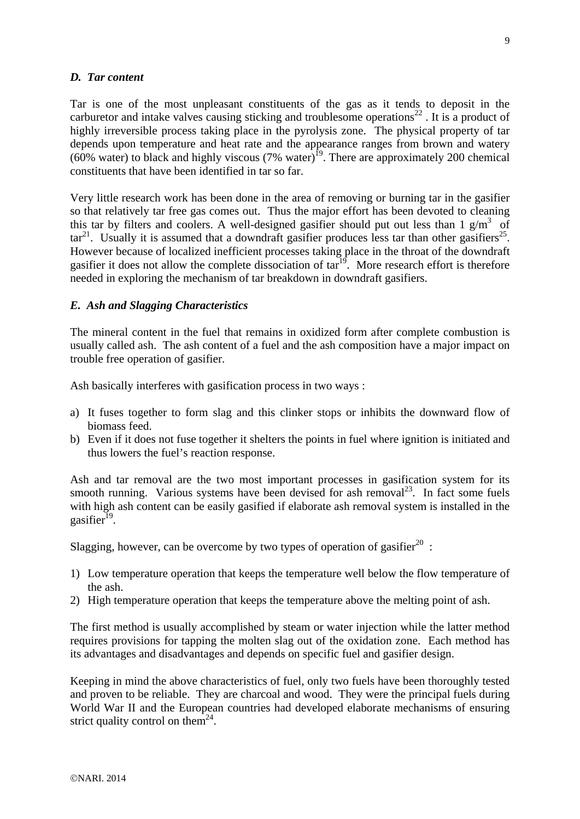### *D. Tar content*

Tar is one of the most unpleasant constituents of the gas as it tends to deposit in the carburetor and intake valves causing sticking and troublesome operations<sup>22</sup>. It is a product of highly irreversible process taking place in the pyrolysis zone. The physical property of tar depends upon temperature and heat rate and the appearance ranges from brown and watery (60% water) to black and highly viscous (7% water)<sup>19</sup>. There are approximately 200 chemical constituents that have been identified in tar so far.

Very little research work has been done in the area of removing or burning tar in the gasifier so that relatively tar free gas comes out. Thus the major effort has been devoted to cleaning this tar by filters and coolers. A well-designed gasifier should put out less than 1  $g/m<sup>3</sup>$  of  $\arctan^{21}$ . Usually it is assumed that a downdraft gasifier produces less tar than other gasifiers<sup>25</sup>. However because of localized inefficient processes taking place in the throat of the downdraft gasifier it does not allow the complete dissociation of  $\arctan^{19}$ . More research effort is therefore needed in exploring the mechanism of tar breakdown in downdraft gasifiers.

## *E. Ash and Slagging Characteristics*

The mineral content in the fuel that remains in oxidized form after complete combustion is usually called ash. The ash content of a fuel and the ash composition have a major impact on trouble free operation of gasifier.

Ash basically interferes with gasification process in two ways :

- a) It fuses together to form slag and this clinker stops or inhibits the downward flow of biomass feed.
- b) Even if it does not fuse together it shelters the points in fuel where ignition is initiated and thus lowers the fuel's reaction response.

Ash and tar removal are the two most important processes in gasification system for its smooth running. Various systems have been devised for ash removal<sup>23</sup>. In fact some fuels with high ash content can be easily gasified if elaborate ash removal system is installed in the gasifier $^{19}$ .

Slagging, however, can be overcome by two types of operation of gasifier<sup>20</sup>:

- 1) Low temperature operation that keeps the temperature well below the flow temperature of the ash.
- 2) High temperature operation that keeps the temperature above the melting point of ash.

The first method is usually accomplished by steam or water injection while the latter method requires provisions for tapping the molten slag out of the oxidation zone. Each method has its advantages and disadvantages and depends on specific fuel and gasifier design.

Keeping in mind the above characteristics of fuel, only two fuels have been thoroughly tested and proven to be reliable. They are charcoal and wood. They were the principal fuels during World War II and the European countries had developed elaborate mechanisms of ensuring strict quality control on them<sup>24</sup>.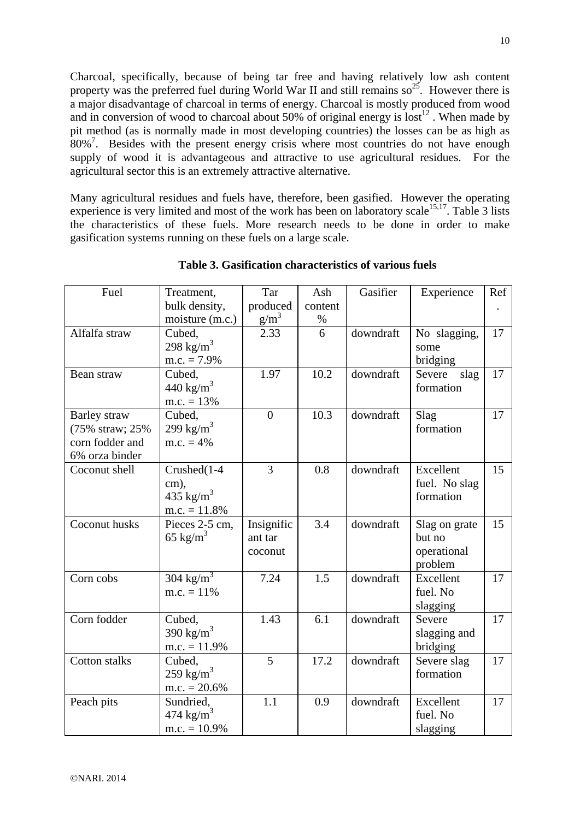Charcoal, specifically, because of being tar free and having relatively low ash content property was the preferred fuel during World War II and still remains  $so^{25}$ . However there is a major disadvantage of charcoal in terms of energy. Charcoal is mostly produced from wood and in conversion of wood to charcoal about 50% of original energy is lost<sup>12</sup>. When made by pit method (as is normally made in most developing countries) the losses can be as high as 80%<sup>7</sup>. Besides with the present energy crisis where most countries do not have enough supply of wood it is advantageous and attractive to use agricultural residues. For the agricultural sector this is an extremely attractive alternative.

Many agricultural residues and fuels have, therefore, been gasified. However the operating experience is very limited and most of the work has been on laboratory scale<sup>15,17</sup>. Table 3 lists the characteristics of these fuels. More research needs to be done in order to make gasification systems running on these fuels on a large scale.

| Fuel             | Treatment,            | Tar            | Ash     | Gasifier  | Experience     | Ref |
|------------------|-----------------------|----------------|---------|-----------|----------------|-----|
|                  | bulk density,         | produced       | content |           |                |     |
|                  | moisture (m.c.)       | $g/m^3$        | $\%$    |           |                |     |
| Alfalfa straw    | Cubed,                | 2.33           | 6       | downdraft | No slagging,   | 17  |
|                  | 298 kg/m <sup>3</sup> |                |         |           | some           |     |
|                  | $m.c. = 7.9\%$        |                |         |           | bridging       |     |
| Bean straw       | Cubed,                | 1.97           | 10.2    | downdraft | Severe<br>slag | 17  |
|                  | 440 kg/m <sup>3</sup> |                |         |           | formation      |     |
|                  | $m.c. = 13%$          |                |         |           |                |     |
| Barley straw     | Cubed,                | $\overline{0}$ | 10.3    | downdraft | Slag           | 17  |
| (75% straw; 25%) | 299 $\text{kg/m}^3$   |                |         |           | formation      |     |
| corn fodder and  | $m.c. = 4%$           |                |         |           |                |     |
| 6% orza binder   |                       |                |         |           |                |     |
| Coconut shell    | Crushed(1-4           | 3              | 0.8     | downdraft | Excellent      | 15  |
|                  | cm),                  |                |         |           | fuel. No slag  |     |
|                  | 435 kg/m <sup>3</sup> |                |         |           | formation      |     |
|                  | $m.c. = 11.8%$        |                |         |           |                |     |
| Coconut husks    | Pieces 2-5 cm,        | Insignific     | 3.4     | downdraft | Slag on grate  | 15  |
|                  | 65 kg/m <sup>3</sup>  | ant tar        |         |           | but no         |     |
|                  |                       | coconut        |         |           | operational    |     |
|                  |                       |                |         |           | problem        |     |
| Corn cobs        | 304 kg/m <sup>3</sup> | 7.24           | 1.5     | downdraft | Excellent      | 17  |
|                  | $m.c. = 11\%$         |                |         |           | fuel. No       |     |
|                  |                       |                |         |           | slagging       |     |
| Corn fodder      | Cubed,                | 1.43           | 6.1     | downdraft | Severe         | 17  |
|                  | 390 $\text{kg/m}^3$   |                |         |           | slagging and   |     |
|                  | $m.c. = 11.9%$        |                |         |           | bridging       |     |
| Cotton stalks    | Cubed,                | $\overline{5}$ | 17.2    | downdraft | Severe slag    | 17  |
|                  | 259 $\text{kg/m}^3$   |                |         |           | formation      |     |
|                  | $m.c. = 20.6\%$       |                |         |           |                |     |
| Peach pits       | Sundried,             | 1.1            | 0.9     | downdraft | Excellent      | 17  |
|                  | 474 $\text{kg/m}^3$   |                |         |           | fuel. No       |     |
|                  | $m.c. = 10.9\%$       |                |         |           | slagging       |     |

**Table 3. Gasification characteristics of various fuels**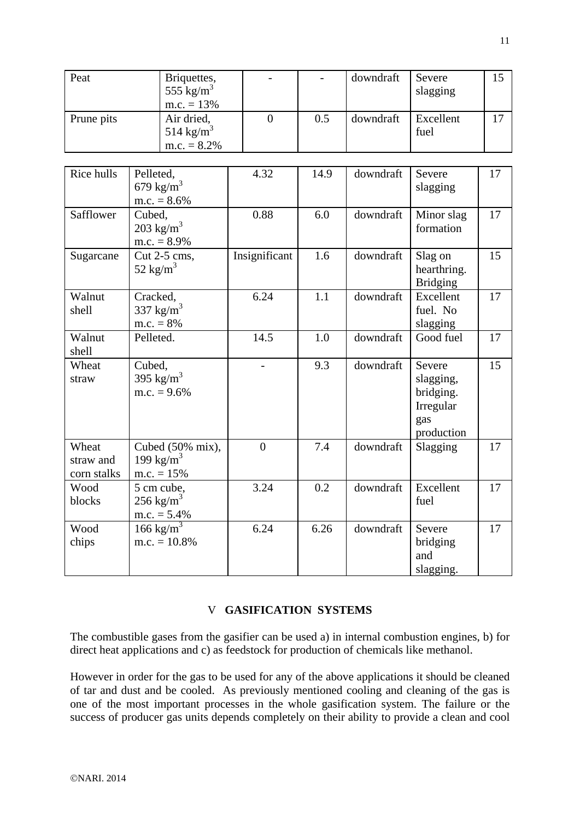| Peat                              | Briquettes,<br>555 kg/m <sup>3</sup><br>$m.c. = 13%$      |                  |      | downdraft | Severe<br>slagging                                                 | 15 |
|-----------------------------------|-----------------------------------------------------------|------------------|------|-----------|--------------------------------------------------------------------|----|
| Prune pits                        | Air dried,<br>514 kg/m <sup>3</sup><br>$m.c. = 8.2\%$     | $\boldsymbol{0}$ | 0.5  | downdraft | Excellent<br>fuel                                                  | 17 |
| Rice hulls                        | Pelleted,<br>679 kg/ $m^3$<br>$m.c. = 8.6\%$              | 4.32             | 14.9 | downdraft | Severe<br>slagging                                                 | 17 |
| Safflower                         | Cubed,<br>$203 \text{ kg/m}^3$<br>$m.c. = 8.9\%$          | 0.88             | 6.0  | downdraft | Minor slag<br>formation                                            | 17 |
| Sugarcane                         | Cut 2-5 cms,<br>52 kg/m <sup>3</sup>                      | Insignificant    | 1.6  | downdraft | Slag on<br>hearthring.<br><b>Bridging</b>                          | 15 |
| Walnut<br>shell                   | Cracked,<br>337 $\text{kg/m}^3$<br>$m.c. = 8%$            | 6.24             | 1.1  | downdraft | Excellent<br>fuel. No<br>slagging                                  | 17 |
| Walnut<br>shell                   | Pelleted.                                                 | 14.5             | 1.0  | downdraft | Good fuel                                                          | 17 |
| Wheat<br>straw                    | Cubed,<br>395 $\text{kg/m}^3$<br>m.c. $= 9.6\%$           |                  | 9.3  | downdraft | Severe<br>slagging,<br>bridging.<br>Irregular<br>gas<br>production | 15 |
| Wheat<br>straw and<br>corn stalks | Cubed (50% mix),<br>199 kg/m <sup>3</sup><br>$m.c. = 15%$ | $\overline{0}$   | 7.4  | downdraft | Slagging                                                           | 17 |
| Wood<br>blocks                    | 5 cm cube,<br>$256 \text{ kg/m}^3$<br>$m.c. = 5.4\%$      | 3.24             | 0.2  | downdraft | Excellent<br>fuel                                                  | 17 |
| Wood<br>chips                     | $166 \text{ kg/m}^3$<br>$m.c. = 10.8%$                    | 6.24             | 6.26 | downdraft | Severe<br>bridging<br>and<br>slagging.                             | 17 |

# V **GASIFICATION SYSTEMS**

The combustible gases from the gasifier can be used a) in internal combustion engines, b) for direct heat applications and c) as feedstock for production of chemicals like methanol.

However in order for the gas to be used for any of the above applications it should be cleaned of tar and dust and be cooled. As previously mentioned cooling and cleaning of the gas is one of the most important processes in the whole gasification system. The failure or the success of producer gas units depends completely on their ability to provide a clean and cool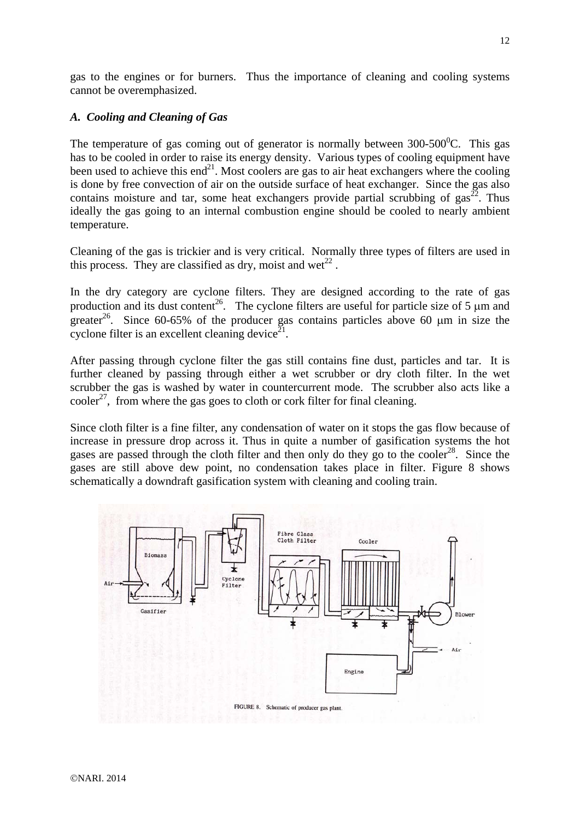gas to the engines or for burners. Thus the importance of cleaning and cooling systems cannot be overemphasized.

### *A. Cooling and Cleaning of Gas*

The temperature of gas coming out of generator is normally between  $300\text{-}500^0\text{C}$ . This gas has to be cooled in order to raise its energy density. Various types of cooling equipment have been used to achieve this end $^{21}$ . Most coolers are gas to air heat exchangers where the cooling is done by free convection of air on the outside surface of heat exchanger. Since the gas also contains moisture and tar, some heat exchangers provide partial scrubbing of gas<sup>22</sup>. Thus ideally the gas going to an internal combustion engine should be cooled to nearly ambient temperature.

Cleaning of the gas is trickier and is very critical. Normally three types of filters are used in this process. They are classified as dry, moist and wet<sup>22</sup>.

In the dry category are cyclone filters. They are designed according to the rate of gas production and its dust content<sup>26</sup>. The cyclone filters are useful for particle size of 5  $\mu$ m and greater<sup>26</sup>. Since 60-65% of the producer gas contains particles above 60  $\mu$ m in size the cyclone filter is an excellent cleaning device $2^1$ .

After passing through cyclone filter the gas still contains fine dust, particles and tar. It is further cleaned by passing through either a wet scrubber or dry cloth filter. In the wet scrubber the gas is washed by water in countercurrent mode. The scrubber also acts like a  $\text{cooler}^{27}$ , from where the gas goes to cloth or cork filter for final cleaning.

Since cloth filter is a fine filter, any condensation of water on it stops the gas flow because of increase in pressure drop across it. Thus in quite a number of gasification systems the hot gases are passed through the cloth filter and then only do they go to the cooler<sup>28</sup>. Since the gases are still above dew point, no condensation takes place in filter. Figure 8 shows schematically a downdraft gasification system with cleaning and cooling train.

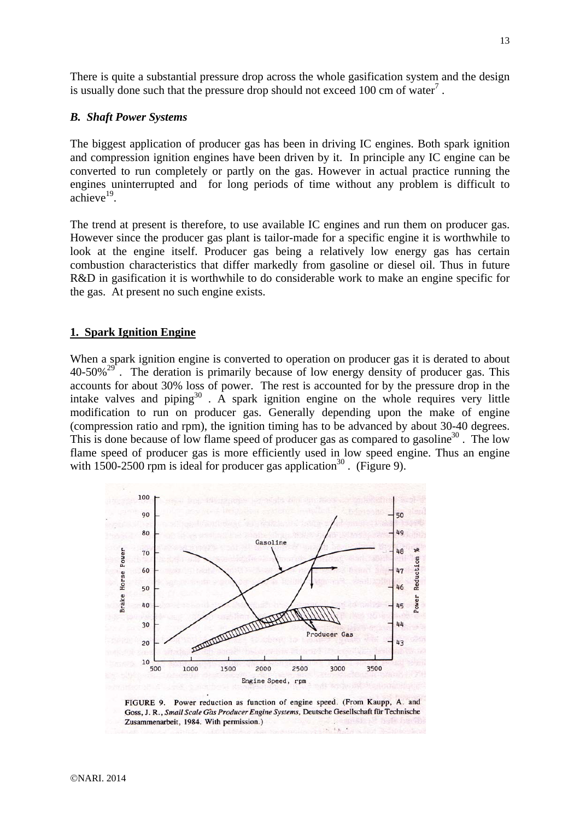There is quite a substantial pressure drop across the whole gasification system and the design is usually done such that the pressure drop should not exceed 100 cm of water<sup>7</sup>.

### *B. Shaft Power Systems*

The biggest application of producer gas has been in driving IC engines. Both spark ignition and compression ignition engines have been driven by it. In principle any IC engine can be converted to run completely or partly on the gas. However in actual practice running the engines uninterrupted and for long periods of time without any problem is difficult to  $\arctan 19$ .

The trend at present is therefore, to use available IC engines and run them on producer gas. However since the producer gas plant is tailor-made for a specific engine it is worthwhile to look at the engine itself. Producer gas being a relatively low energy gas has certain combustion characteristics that differ markedly from gasoline or diesel oil. Thus in future R&D in gasification it is worthwhile to do considerable work to make an engine specific for the gas. At present no such engine exists.

#### **1. Spark Ignition Engine**

When a spark ignition engine is converted to operation on producer gas it is derated to about  $40-50\%^{29}$ . The deration is primarily because of low energy density of producer gas. This accounts for about 30% loss of power. The rest is accounted for by the pressure drop in the intake valves and piping $30$ . A spark ignition engine on the whole requires very little modification to run on producer gas. Generally depending upon the make of engine (compression ratio and rpm), the ignition timing has to be advanced by about 30-40 degrees. This is done because of low flame speed of producer gas as compared to gasoline<sup>30</sup>. The low flame speed of producer gas is more efficiently used in low speed engine. Thus an engine with 1500-2500 rpm is ideal for producer gas application<sup>30</sup>. (Figure 9).



FIGURE 9. Power reduction as function of engine speed. (From Kaupp, A. and Goss, J. R., Small Scale Gas Producer Engine Systems, Deutsche Gesellschaft für Technische Zusammenarbeit, 1984. With permission.)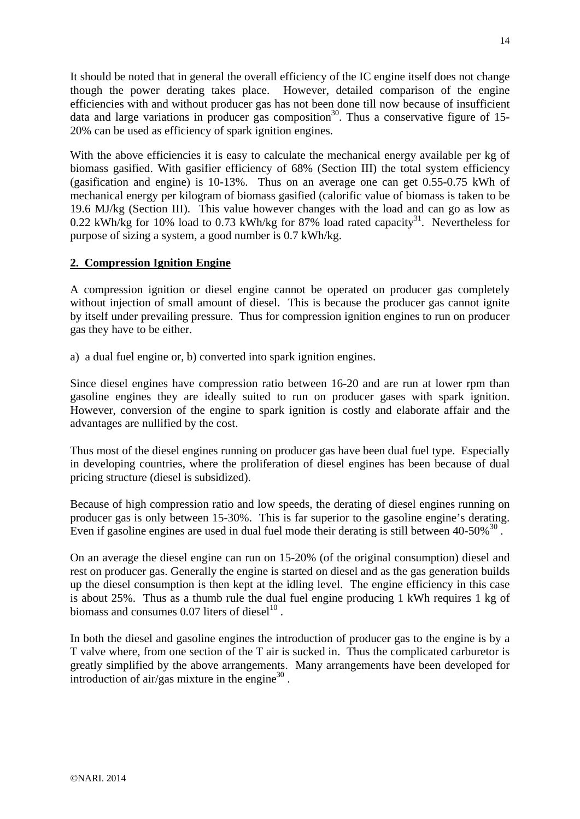It should be noted that in general the overall efficiency of the IC engine itself does not change though the power derating takes place. However, detailed comparison of the engine efficiencies with and without producer gas has not been done till now because of insufficient data and large variations in producer gas composition<sup>30</sup>. Thus a conservative figure of 15-20% can be used as efficiency of spark ignition engines.

With the above efficiencies it is easy to calculate the mechanical energy available per kg of biomass gasified. With gasifier efficiency of 68% (Section III) the total system efficiency (gasification and engine) is 10-13%. Thus on an average one can get 0.55-0.75 kWh of mechanical energy per kilogram of biomass gasified (calorific value of biomass is taken to be 19.6 MJ/kg (Section III). This value however changes with the load and can go as low as 0.22 kWh/kg for 10% load to 0.73 kWh/kg for 87% load rated capacity<sup>31</sup>. Nevertheless for purpose of sizing a system, a good number is 0.7 kWh/kg.

# **2. Compression Ignition Engine**

A compression ignition or diesel engine cannot be operated on producer gas completely without injection of small amount of diesel. This is because the producer gas cannot ignite by itself under prevailing pressure. Thus for compression ignition engines to run on producer gas they have to be either.

a) a dual fuel engine or, b) converted into spark ignition engines.

Since diesel engines have compression ratio between 16-20 and are run at lower rpm than gasoline engines they are ideally suited to run on producer gases with spark ignition. However, conversion of the engine to spark ignition is costly and elaborate affair and the advantages are nullified by the cost.

Thus most of the diesel engines running on producer gas have been dual fuel type. Especially in developing countries, where the proliferation of diesel engines has been because of dual pricing structure (diesel is subsidized).

Because of high compression ratio and low speeds, the derating of diesel engines running on producer gas is only between 15-30%. This is far superior to the gasoline engine's derating. Even if gasoline engines are used in dual fuel mode their derating is still between  $40-50\%$ <sup>30</sup>.

On an average the diesel engine can run on 15-20% (of the original consumption) diesel and rest on producer gas. Generally the engine is started on diesel and as the gas generation builds up the diesel consumption is then kept at the idling level. The engine efficiency in this case is about 25%. Thus as a thumb rule the dual fuel engine producing 1 kWh requires 1 kg of biomass and consumes  $0.07$  liters of diesel<sup>10</sup>.

In both the diesel and gasoline engines the introduction of producer gas to the engine is by a T valve where, from one section of the T air is sucked in. Thus the complicated carburetor is greatly simplified by the above arrangements. Many arrangements have been developed for introduction of air/gas mixture in the engine $30$ .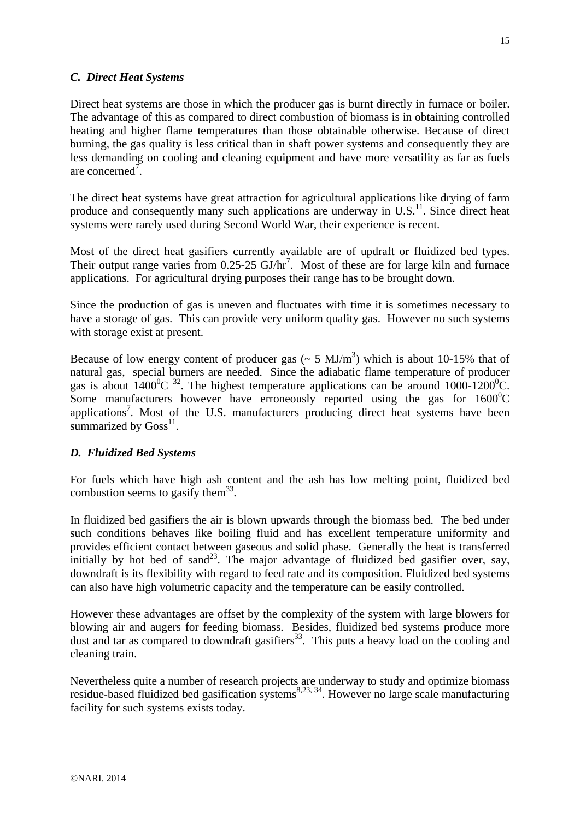# *C. Direct Heat Systems*

Direct heat systems are those in which the producer gas is burnt directly in furnace or boiler. The advantage of this as compared to direct combustion of biomass is in obtaining controlled heating and higher flame temperatures than those obtainable otherwise. Because of direct burning, the gas quality is less critical than in shaft power systems and consequently they are less demanding on cooling and cleaning equipment and have more versatility as far as fuels are concerned<sup> $\bar{7}$ </sup>.

The direct heat systems have great attraction for agricultural applications like drying of farm produce and consequently many such applications are underway in  $U.S.<sup>11</sup>$ . Since direct heat systems were rarely used during Second World War, their experience is recent.

Most of the direct heat gasifiers currently available are of updraft or fluidized bed types. Their output range varies from  $0.25$ -25 GJ/hr<sup>7</sup>. Most of these are for large kiln and furnace applications. For agricultural drying purposes their range has to be brought down.

Since the production of gas is uneven and fluctuates with time it is sometimes necessary to have a storage of gas. This can provide very uniform quality gas. However no such systems with storage exist at present.

Because of low energy content of producer gas ( $\sim$  5 MJ/m<sup>3</sup>) which is about 10-15% that of natural gas, special burners are needed. Since the adiabatic flame temperature of producer gas is about  $1400^{\circ}$ C <sup>32</sup>. The highest temperature applications can be around  $1000$ - $1200^{\circ}$ C. Some manufacturers however have erroneously reported using the gas for  $1600^{\circ}$ C applications<sup>7</sup>. Most of the U.S. manufacturers producing direct heat systems have been summarized by  $Goss<sup>11</sup>$ .

## *D. Fluidized Bed Systems*

For fuels which have high ash content and the ash has low melting point, fluidized bed combustion seems to gasify them<sup>33</sup>.

In fluidized bed gasifiers the air is blown upwards through the biomass bed. The bed under such conditions behaves like boiling fluid and has excellent temperature uniformity and provides efficient contact between gaseous and solid phase. Generally the heat is transferred initially by hot bed of sand<sup>23</sup>. The major advantage of fluidized bed gasifier over, say, downdraft is its flexibility with regard to feed rate and its composition. Fluidized bed systems can also have high volumetric capacity and the temperature can be easily controlled.

However these advantages are offset by the complexity of the system with large blowers for blowing air and augers for feeding biomass. Besides, fluidized bed systems produce more dust and tar as compared to downdraft gasifiers<sup>33</sup>. This puts a heavy load on the cooling and cleaning train.

Nevertheless quite a number of research projects are underway to study and optimize biomass residue-based fluidized bed gasification systems<sup>8,23, 34</sup>. However no large scale manufacturing facility for such systems exists today.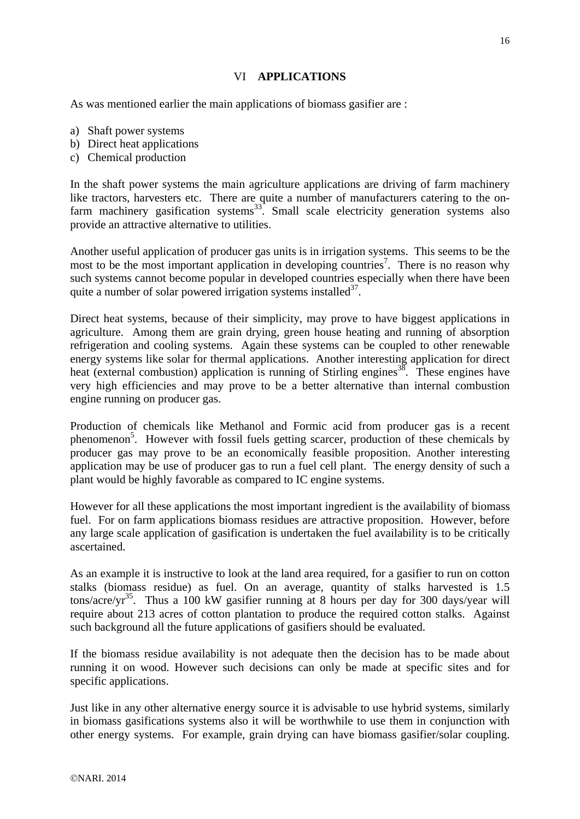# VI **APPLICATIONS**

As was mentioned earlier the main applications of biomass gasifier are :

- a) Shaft power systems
- b) Direct heat applications
- c) Chemical production

In the shaft power systems the main agriculture applications are driving of farm machinery like tractors, harvesters etc. There are quite a number of manufacturers catering to the onfarm machinery gasification systems<sup>33</sup>. Small scale electricity generation systems also provide an attractive alternative to utilities.

Another useful application of producer gas units is in irrigation systems. This seems to be the most to be the most important application in developing countries<sup>7</sup>. There is no reason why such systems cannot become popular in developed countries especially when there have been quite a number of solar powered irrigation systems installed  $37$ .

Direct heat systems, because of their simplicity, may prove to have biggest applications in agriculture. Among them are grain drying, green house heating and running of absorption refrigeration and cooling systems. Again these systems can be coupled to other renewable energy systems like solar for thermal applications. Another interesting application for direct heat (external combustion) application is running of Stirling engines<sup>38</sup>. These engines have very high efficiencies and may prove to be a better alternative than internal combustion engine running on producer gas.

Production of chemicals like Methanol and Formic acid from producer gas is a recent phenomenon<sup>5</sup>. However with fossil fuels getting scarcer, production of these chemicals by producer gas may prove to be an economically feasible proposition. Another interesting application may be use of producer gas to run a fuel cell plant. The energy density of such a plant would be highly favorable as compared to IC engine systems.

However for all these applications the most important ingredient is the availability of biomass fuel. For on farm applications biomass residues are attractive proposition. However, before any large scale application of gasification is undertaken the fuel availability is to be critically ascertained.

As an example it is instructive to look at the land area required, for a gasifier to run on cotton stalks (biomass residue) as fuel. On an average, quantity of stalks harvested is 1.5 tons/acre/yr<sup>35</sup>. Thus a 100 kW gasifier running at 8 hours per day for 300 days/year will require about 213 acres of cotton plantation to produce the required cotton stalks. Against such background all the future applications of gasifiers should be evaluated.

If the biomass residue availability is not adequate then the decision has to be made about running it on wood. However such decisions can only be made at specific sites and for specific applications.

Just like in any other alternative energy source it is advisable to use hybrid systems, similarly in biomass gasifications systems also it will be worthwhile to use them in conjunction with other energy systems. For example, grain drying can have biomass gasifier/solar coupling.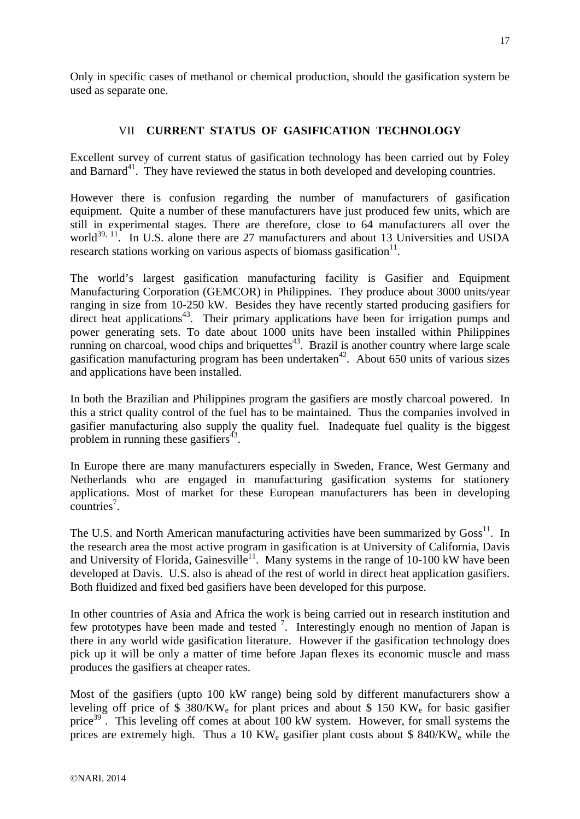Only in specific cases of methanol or chemical production, should the gasification system be used as separate one.

# VII **CURRENT STATUS OF GASIFICATION TECHNOLOGY**

Excellent survey of current status of gasification technology has been carried out by Foley and Barnard<sup>41</sup>. They have reviewed the status in both developed and developing countries.

However there is confusion regarding the number of manufacturers of gasification equipment. Quite a number of these manufacturers have just produced few units, which are still in experimental stages. There are therefore, close to 64 manufacturers all over the world<sup>39, 11</sup>. In U.S. alone there are 27 manufacturers and about 13 Universities and USDA research stations working on various aspects of biomass gasification $11$ .

The world's largest gasification manufacturing facility is Gasifier and Equipment Manufacturing Corporation (GEMCOR) in Philippines. They produce about 3000 units/year ranging in size from 10-250 kW. Besides they have recently started producing gasifiers for direct heat applications<sup>43</sup>. Their primary applications have been for irrigation pumps and power generating sets. To date about 1000 units have been installed within Philippines running on charcoal, wood chips and briquettes<sup>43</sup>. Brazil is another country where large scale gasification manufacturing program has been undertaken<sup>42</sup>. About 650 units of various sizes and applications have been installed.

In both the Brazilian and Philippines program the gasifiers are mostly charcoal powered. In this a strict quality control of the fuel has to be maintained. Thus the companies involved in gasifier manufacturing also supply the quality fuel. Inadequate fuel quality is the biggest problem in running these gasifiers $43$ .

In Europe there are many manufacturers especially in Sweden, France, West Germany and Netherlands who are engaged in manufacturing gasification systems for stationery applications. Most of market for these European manufacturers has been in developing  $countries<sup>7</sup>$ .

The U.S. and North American manufacturing activities have been summarized by Goss<sup>11</sup>. In the research area the most active program in gasification is at University of California, Davis and University of Florida, Gainesville<sup>11</sup>. Many systems in the range of 10-100 kW have been developed at Davis. U.S. also is ahead of the rest of world in direct heat application gasifiers. Both fluidized and fixed bed gasifiers have been developed for this purpose.

In other countries of Asia and Africa the work is being carried out in research institution and few prototypes have been made and tested  $\frac{7}{1}$ . Interestingly enough no mention of Japan is there in any world wide gasification literature. However if the gasification technology does pick up it will be only a matter of time before Japan flexes its economic muscle and mass produces the gasifiers at cheaper rates.

Most of the gasifiers (upto 100 kW range) being sold by different manufacturers show a leveling off price of  $$380/KW<sub>e</sub>$  for plant prices and about  $$150 KW<sub>e</sub>$  for basic gasifier price<sup>39</sup>. This leveling off comes at about 100 kW system. However, for small systems the prices are extremely high. Thus a 10 KW<sub>e</sub> gasifier plant costs about  $$840/KW$ <sub>e</sub> while the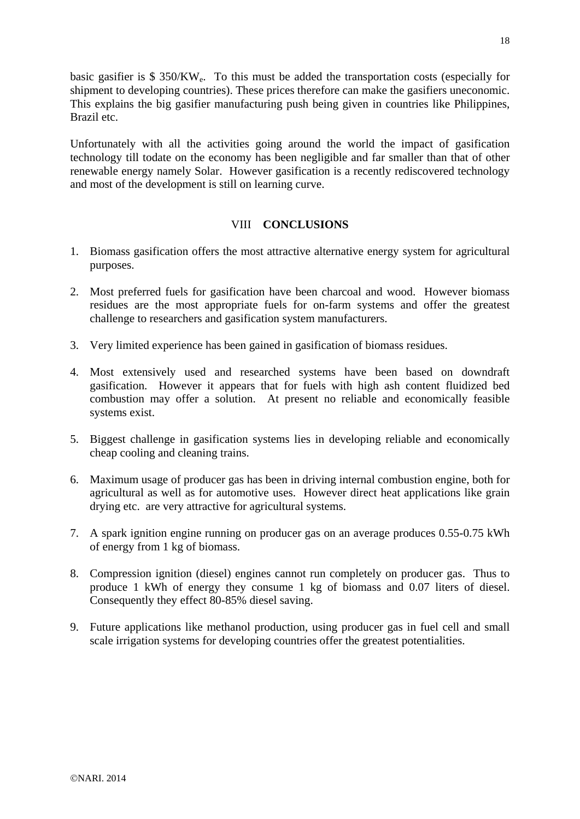basic gasifier is \$ 350/KWe. To this must be added the transportation costs (especially for shipment to developing countries). These prices therefore can make the gasifiers uneconomic. This explains the big gasifier manufacturing push being given in countries like Philippines, Brazil etc.

Unfortunately with all the activities going around the world the impact of gasification technology till todate on the economy has been negligible and far smaller than that of other renewable energy namely Solar. However gasification is a recently rediscovered technology and most of the development is still on learning curve.

## VIII **CONCLUSIONS**

- 1. Biomass gasification offers the most attractive alternative energy system for agricultural purposes.
- 2. Most preferred fuels for gasification have been charcoal and wood. However biomass residues are the most appropriate fuels for on-farm systems and offer the greatest challenge to researchers and gasification system manufacturers.
- 3. Very limited experience has been gained in gasification of biomass residues.
- 4. Most extensively used and researched systems have been based on downdraft gasification. However it appears that for fuels with high ash content fluidized bed combustion may offer a solution. At present no reliable and economically feasible systems exist.
- 5. Biggest challenge in gasification systems lies in developing reliable and economically cheap cooling and cleaning trains.
- 6. Maximum usage of producer gas has been in driving internal combustion engine, both for agricultural as well as for automotive uses. However direct heat applications like grain drying etc. are very attractive for agricultural systems.
- 7. A spark ignition engine running on producer gas on an average produces 0.55-0.75 kWh of energy from 1 kg of biomass.
- 8. Compression ignition (diesel) engines cannot run completely on producer gas. Thus to produce 1 kWh of energy they consume 1 kg of biomass and 0.07 liters of diesel. Consequently they effect 80-85% diesel saving.
- 9. Future applications like methanol production, using producer gas in fuel cell and small scale irrigation systems for developing countries offer the greatest potentialities.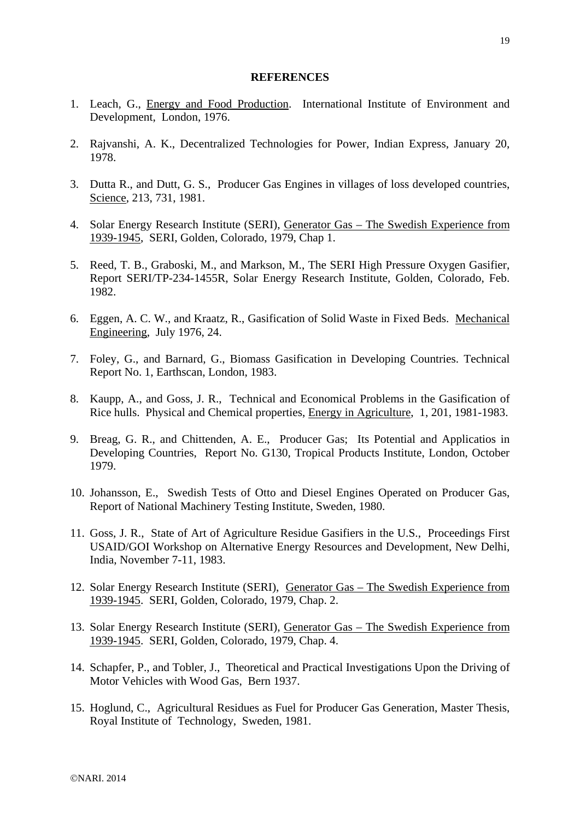#### **REFERENCES**

- 1. Leach, G., Energy and Food Production. International Institute of Environment and Development, London, 1976.
- 2. Rajvanshi, A. K., Decentralized Technologies for Power, Indian Express, January 20, 1978.
- 3. Dutta R., and Dutt, G. S., Producer Gas Engines in villages of loss developed countries, Science, 213, 731, 1981.
- 4. Solar Energy Research Institute (SERI), Generator Gas The Swedish Experience from 1939-1945, SERI, Golden, Colorado, 1979, Chap 1.
- 5. Reed, T. B., Graboski, M., and Markson, M., The SERI High Pressure Oxygen Gasifier, Report SERI/TP-234-1455R, Solar Energy Research Institute, Golden, Colorado, Feb. 1982.
- 6. Eggen, A. C. W., and Kraatz, R., Gasification of Solid Waste in Fixed Beds. Mechanical Engineering, July 1976, 24.
- 7. Foley, G., and Barnard, G., Biomass Gasification in Developing Countries. Technical Report No. 1, Earthscan, London, 1983.
- 8. Kaupp, A., and Goss, J. R., Technical and Economical Problems in the Gasification of Rice hulls. Physical and Chemical properties, Energy in Agriculture, 1, 201, 1981-1983.
- 9. Breag, G. R., and Chittenden, A. E., Producer Gas; Its Potential and Applicatios in Developing Countries, Report No. G130, Tropical Products Institute, London, October 1979.
- 10. Johansson, E., Swedish Tests of Otto and Diesel Engines Operated on Producer Gas, Report of National Machinery Testing Institute, Sweden, 1980.
- 11. Goss, J. R., State of Art of Agriculture Residue Gasifiers in the U.S., Proceedings First USAID/GOI Workshop on Alternative Energy Resources and Development, New Delhi, India, November 7-11, 1983.
- 12. Solar Energy Research Institute (SERI), Generator Gas The Swedish Experience from 1939-1945. SERI, Golden, Colorado, 1979, Chap. 2.
- 13. Solar Energy Research Institute (SERI), Generator Gas The Swedish Experience from 1939-1945. SERI, Golden, Colorado, 1979, Chap. 4.
- 14. Schapfer, P., and Tobler, J., Theoretical and Practical Investigations Upon the Driving of Motor Vehicles with Wood Gas, Bern 1937.
- 15. Hoglund, C., Agricultural Residues as Fuel for Producer Gas Generation, Master Thesis, Royal Institute of Technology, Sweden, 1981.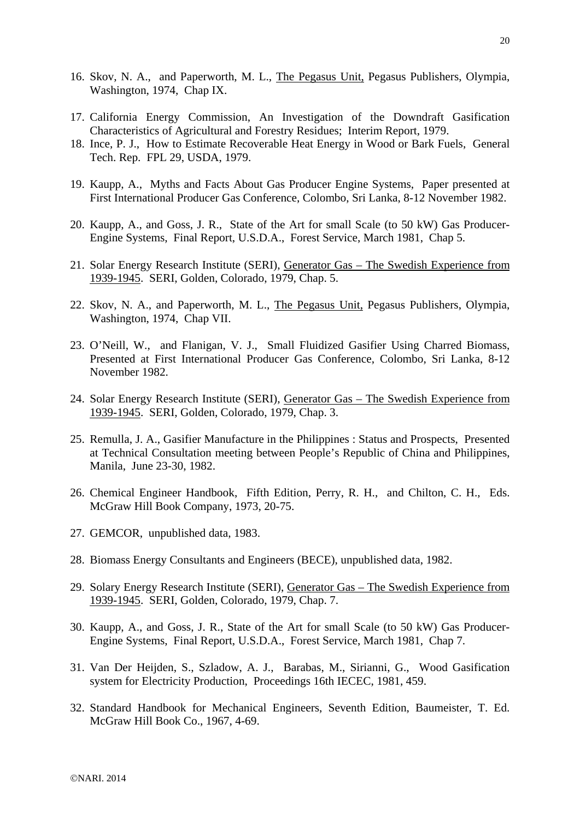- 16. Skov, N. A., and Paperworth, M. L., The Pegasus Unit, Pegasus Publishers, Olympia, Washington, 1974, Chap IX.
- 17. California Energy Commission, An Investigation of the Downdraft Gasification Characteristics of Agricultural and Forestry Residues; Interim Report, 1979.
- 18. Ince, P. J., How to Estimate Recoverable Heat Energy in Wood or Bark Fuels, General Tech. Rep. FPL 29, USDA, 1979.
- 19. Kaupp, A., Myths and Facts About Gas Producer Engine Systems, Paper presented at First International Producer Gas Conference, Colombo, Sri Lanka, 8-12 November 1982.
- 20. Kaupp, A., and Goss, J. R., State of the Art for small Scale (to 50 kW) Gas Producer-Engine Systems, Final Report, U.S.D.A., Forest Service, March 1981, Chap 5.
- 21. Solar Energy Research Institute (SERI), Generator Gas The Swedish Experience from 1939-1945. SERI, Golden, Colorado, 1979, Chap. 5.
- 22. Skov, N. A., and Paperworth, M. L., The Pegasus Unit, Pegasus Publishers, Olympia, Washington, 1974, Chap VII.
- 23. O'Neill, W., and Flanigan, V. J., Small Fluidized Gasifier Using Charred Biomass, Presented at First International Producer Gas Conference, Colombo, Sri Lanka, 8-12 November 1982.
- 24. Solar Energy Research Institute (SERI), Generator Gas The Swedish Experience from 1939-1945. SERI, Golden, Colorado, 1979, Chap. 3.
- 25. Remulla, J. A., Gasifier Manufacture in the Philippines : Status and Prospects, Presented at Technical Consultation meeting between People's Republic of China and Philippines, Manila, June 23-30, 1982.
- 26. Chemical Engineer Handbook, Fifth Edition, Perry, R. H., and Chilton, C. H., Eds. McGraw Hill Book Company, 1973, 20-75.
- 27. GEMCOR, unpublished data, 1983.
- 28. Biomass Energy Consultants and Engineers (BECE), unpublished data, 1982.
- 29. Solary Energy Research Institute (SERI), Generator Gas The Swedish Experience from 1939-1945. SERI, Golden, Colorado, 1979, Chap. 7.
- 30. Kaupp, A., and Goss, J. R., State of the Art for small Scale (to 50 kW) Gas Producer-Engine Systems, Final Report, U.S.D.A., Forest Service, March 1981, Chap 7.
- 31. Van Der Heijden, S., Szladow, A. J., Barabas, M., Sirianni, G., Wood Gasification system for Electricity Production, Proceedings 16th IECEC, 1981, 459.
- 32. Standard Handbook for Mechanical Engineers, Seventh Edition, Baumeister, T. Ed. McGraw Hill Book Co., 1967, 4-69.